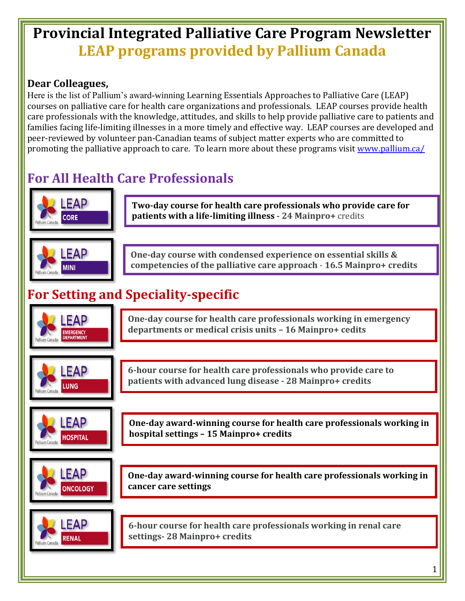## **Provincial Integrated Palliative Care Program Newsletter LEAP programs provided by Pallium Canada**

## **Dear Colleagues,**

Here is the list of Pallium's award-winning Learning Essentials Approaches to Palliative Care (LEAP) courses on palliative care for health care organizations and professionals. LEAP courses provide health care professionals with the knowledge, attitudes, and skills to help provide palliative care to patients and families facing life-limiting illnesses in a more timely and effective way. LEAP courses are developed and peer-reviewed by volunteer pan-Canadian teams of subject matter experts who are committed to promoting the palliative approach to care. To learn more about these programs visit [www.pallium.ca/](http://www.pallium.ca/)

## **For All Health Care Professionals**